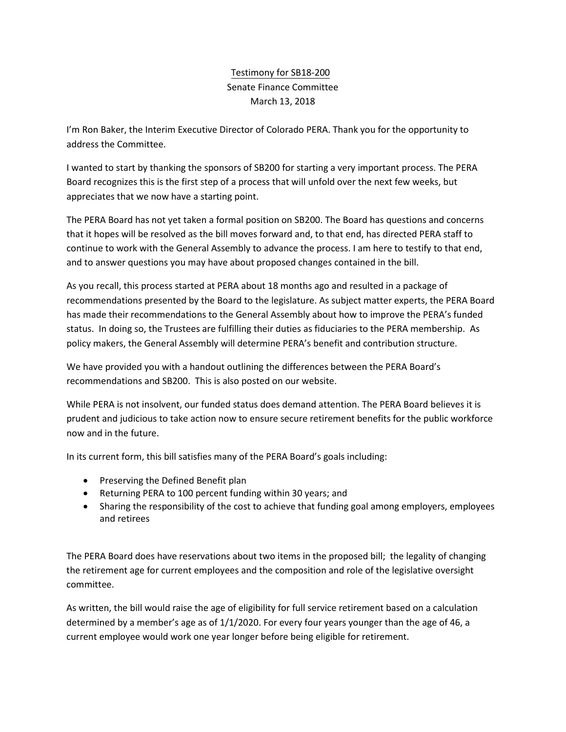## Testimony for SB18-200 Senate Finance Committee March 13, 2018

I'm Ron Baker, the Interim Executive Director of Colorado PERA. Thank you for the opportunity to address the Committee.

I wanted to start by thanking the sponsors of SB200 for starting a very important process. The PERA Board recognizes this is the first step of a process that will unfold over the next few weeks, but appreciates that we now have a starting point.

The PERA Board has not yet taken a formal position on SB200. The Board has questions and concerns that it hopes will be resolved as the bill moves forward and, to that end, has directed PERA staff to continue to work with the General Assembly to advance the process. I am here to testify to that end, and to answer questions you may have about proposed changes contained in the bill.

As you recall, this process started at PERA about 18 months ago and resulted in a package of recommendations presented by the Board to the legislature. As subject matter experts, the PERA Board has made their recommendations to the General Assembly about how to improve the PERA's funded status. In doing so, the Trustees are fulfilling their duties as fiduciaries to the PERA membership. As policy makers, the General Assembly will determine PERA's benefit and contribution structure.

We have provided you with a handout outlining the differences between the PERA Board's recommendations and SB200. This is also posted on our website.

While PERA is not insolvent, our funded status does demand attention. The PERA Board believes it is prudent and judicious to take action now to ensure secure retirement benefits for the public workforce now and in the future.

In its current form, this bill satisfies many of the PERA Board's goals including:

- Preserving the Defined Benefit plan
- Returning PERA to 100 percent funding within 30 years; and
- Sharing the responsibility of the cost to achieve that funding goal among employers, employees and retirees

The PERA Board does have reservations about two items in the proposed bill; the legality of changing the retirement age for current employees and the composition and role of the legislative oversight committee.

As written, the bill would raise the age of eligibility for full service retirement based on a calculation determined by a member's age as of 1/1/2020. For every four years younger than the age of 46, a current employee would work one year longer before being eligible for retirement.